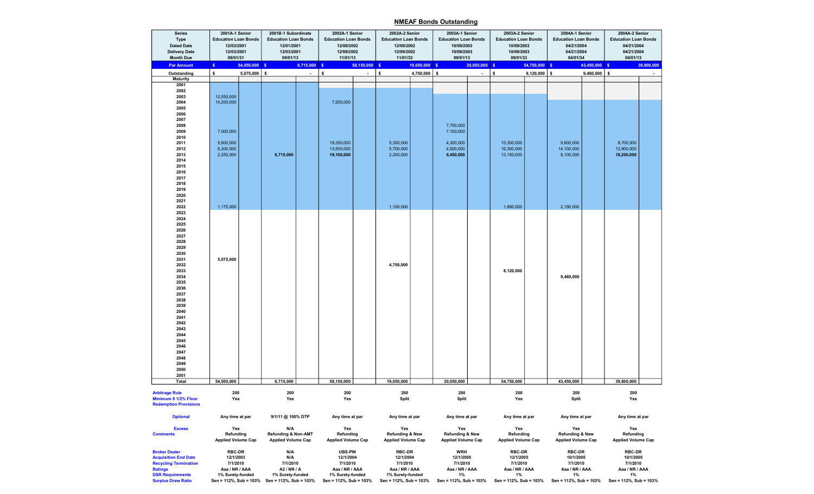## NMEAF Bonds Outstanding

|                           | <b>Series</b><br>Type<br><b>Dated Date</b><br><b>Delivery Date</b><br><b>Month Due</b> | 2001A-1 Senior<br><b>Education Loan Bonds</b><br>12/03/2001<br>12/03/2001<br>09/01/31 |                                               | 2001B-1 Subordinate<br><b>Education Loan Bonds</b><br>12/01/2001<br>12/03/2001<br>09/01/13 |                        | 2002A-1 Senior<br><b>Education Loan Bonds</b><br>12/09/2002<br>12/09/2002<br>11/01/13 |                        | 2002A-2 Senior<br><b>Education Loan Bonds</b><br>12/09/2002<br>12/09/2002<br>11/01/32 |                        | 2003A-1 Senior<br><b>Education Loan Bonds</b><br>10/09/2003<br>10/09/2003<br>09/01/13 |                        | 2003A-2 Senior<br><b>Education Loan Bonds</b><br>10/09/2003<br>10/09/2003<br>09/01/33 |                        | 2004A-1 Senior<br><b>Education Loan Bonds</b><br>04/21/2004<br>04/21/2004<br>04/01/34 |                        | 2004A-2 Senior<br><b>Education Loan Bonds</b><br>04/21/2004<br>04/21/2004<br>04/01/13 |                |  |
|---------------------------|----------------------------------------------------------------------------------------|---------------------------------------------------------------------------------------|-----------------------------------------------|--------------------------------------------------------------------------------------------|------------------------|---------------------------------------------------------------------------------------|------------------------|---------------------------------------------------------------------------------------|------------------------|---------------------------------------------------------------------------------------|------------------------|---------------------------------------------------------------------------------------|------------------------|---------------------------------------------------------------------------------------|------------------------|---------------------------------------------------------------------------------------|----------------|--|
|                           | <b>Par Amount</b>                                                                      | 54,050,000 \$<br>$\mathsf{s}$                                                         |                                               | 6,715,000 \$                                                                               |                        | 58,150,000                                                                            |                        | 19,050,000 \$<br>$\mathbf{s}$                                                         |                        | 30,050,000                                                                            |                        | 54,750,000 \$<br>$\mathsf{s}$                                                         |                        | 43,450,000                                                                            |                        | 39,800,000<br>- \$                                                                    |                |  |
|                           | Outstanding                                                                            | $5,075,000$ \$<br>\$                                                                  |                                               | $\blacksquare$                                                                             | s.                     | $\blacksquare$                                                                        | \$                     | 4,750,000 $\frac{1}{5}$                                                               |                        | $\overline{a}$                                                                        | $\pmb{\mathsf{s}}$     | $8,120,000$ \$                                                                        |                        | 9,460,000                                                                             | $\mathbf{s}$           |                                                                                       |                |  |
|                           | <b>Maturity</b>                                                                        |                                                                                       |                                               |                                                                                            |                        |                                                                                       |                        |                                                                                       |                        |                                                                                       |                        |                                                                                       |                        |                                                                                       |                        |                                                                                       |                |  |
|                           | 2001                                                                                   |                                                                                       |                                               |                                                                                            |                        |                                                                                       |                        |                                                                                       |                        |                                                                                       |                        |                                                                                       |                        |                                                                                       |                        |                                                                                       |                |  |
|                           | 2002<br>2003                                                                           | 12,550,000                                                                            |                                               |                                                                                            |                        |                                                                                       |                        |                                                                                       |                        |                                                                                       |                        |                                                                                       |                        |                                                                                       |                        |                                                                                       |                |  |
|                           | 2004                                                                                   | 14,200,000                                                                            |                                               |                                                                                            |                        | 7,200,000                                                                             |                        |                                                                                       |                        |                                                                                       |                        |                                                                                       |                        |                                                                                       |                        |                                                                                       |                |  |
|                           | 2005                                                                                   |                                                                                       |                                               |                                                                                            |                        |                                                                                       |                        |                                                                                       |                        |                                                                                       |                        |                                                                                       |                        |                                                                                       |                        |                                                                                       |                |  |
|                           | 2006                                                                                   |                                                                                       |                                               |                                                                                            |                        |                                                                                       |                        |                                                                                       |                        |                                                                                       |                        |                                                                                       |                        |                                                                                       |                        |                                                                                       |                |  |
|                           | 2007                                                                                   |                                                                                       |                                               |                                                                                            |                        |                                                                                       |                        |                                                                                       |                        |                                                                                       |                        |                                                                                       |                        |                                                                                       |                        |                                                                                       |                |  |
|                           | 2008                                                                                   |                                                                                       |                                               |                                                                                            |                        |                                                                                       |                        |                                                                                       |                        | 7,700,000                                                                             |                        |                                                                                       |                        |                                                                                       |                        |                                                                                       |                |  |
|                           | 2009                                                                                   | 7,000,000                                                                             |                                               |                                                                                            |                        |                                                                                       |                        |                                                                                       |                        | 7,100,000                                                                             |                        |                                                                                       |                        |                                                                                       |                        |                                                                                       |                |  |
|                           | 2010<br>2011                                                                           | 5,600,000                                                                             |                                               |                                                                                            |                        | 18,350,000                                                                            |                        | 5,300,000                                                                             |                        | 4,300,000                                                                             |                        | 15,300,000                                                                            |                        | 9,600,000                                                                             |                        | 8,700,000                                                                             |                |  |
|                           | 2012                                                                                   | 6,200,000                                                                             |                                               |                                                                                            |                        | 13,500,000                                                                            |                        | 5,700,000                                                                             |                        | 4,500,000                                                                             |                        | 16,300,000                                                                            |                        | 14,100,000                                                                            |                        | 12,900,000                                                                            |                |  |
|                           | 2013                                                                                   | 2,250,000                                                                             |                                               | 6,715,000                                                                                  |                        | 19,100,000                                                                            |                        | 2,200,000                                                                             |                        | 6,450,000                                                                             |                        | 13,150,000                                                                            |                        | 8,100,000                                                                             |                        | 18,200,000                                                                            |                |  |
|                           | 2014                                                                                   |                                                                                       |                                               |                                                                                            |                        |                                                                                       |                        |                                                                                       |                        |                                                                                       |                        |                                                                                       |                        |                                                                                       |                        |                                                                                       |                |  |
|                           | 2015                                                                                   |                                                                                       |                                               |                                                                                            |                        |                                                                                       |                        |                                                                                       |                        |                                                                                       |                        |                                                                                       |                        |                                                                                       |                        |                                                                                       |                |  |
|                           | 2016                                                                                   |                                                                                       |                                               |                                                                                            |                        |                                                                                       |                        |                                                                                       |                        |                                                                                       |                        |                                                                                       |                        |                                                                                       |                        |                                                                                       |                |  |
|                           | 2017                                                                                   |                                                                                       |                                               |                                                                                            |                        |                                                                                       |                        |                                                                                       |                        |                                                                                       |                        |                                                                                       |                        |                                                                                       |                        |                                                                                       |                |  |
|                           | 2018<br>2019                                                                           |                                                                                       |                                               |                                                                                            |                        |                                                                                       |                        |                                                                                       |                        |                                                                                       |                        |                                                                                       |                        |                                                                                       |                        |                                                                                       |                |  |
|                           | 2020                                                                                   |                                                                                       |                                               |                                                                                            |                        |                                                                                       |                        |                                                                                       |                        |                                                                                       |                        |                                                                                       |                        |                                                                                       |                        |                                                                                       |                |  |
|                           | 2021                                                                                   |                                                                                       |                                               |                                                                                            |                        |                                                                                       |                        |                                                                                       |                        |                                                                                       |                        |                                                                                       |                        |                                                                                       |                        |                                                                                       |                |  |
|                           | 2022                                                                                   | 1,175,000                                                                             |                                               |                                                                                            |                        |                                                                                       |                        | 1,100,000                                                                             |                        |                                                                                       |                        | 1,880,000                                                                             |                        | 2,190,000                                                                             |                        |                                                                                       |                |  |
|                           | 2023                                                                                   |                                                                                       |                                               |                                                                                            |                        |                                                                                       |                        |                                                                                       |                        |                                                                                       |                        |                                                                                       |                        |                                                                                       |                        |                                                                                       |                |  |
|                           | 2024                                                                                   |                                                                                       |                                               |                                                                                            |                        |                                                                                       |                        |                                                                                       |                        |                                                                                       |                        |                                                                                       |                        |                                                                                       |                        |                                                                                       |                |  |
|                           | 2025<br>2026                                                                           |                                                                                       |                                               |                                                                                            |                        |                                                                                       |                        |                                                                                       |                        |                                                                                       |                        |                                                                                       |                        |                                                                                       |                        |                                                                                       |                |  |
|                           | 2027                                                                                   |                                                                                       |                                               |                                                                                            |                        |                                                                                       |                        |                                                                                       |                        |                                                                                       |                        |                                                                                       |                        |                                                                                       |                        |                                                                                       |                |  |
|                           | 2028                                                                                   |                                                                                       |                                               |                                                                                            |                        |                                                                                       |                        |                                                                                       |                        |                                                                                       |                        |                                                                                       |                        |                                                                                       |                        |                                                                                       |                |  |
|                           | 2029                                                                                   |                                                                                       |                                               |                                                                                            |                        |                                                                                       |                        |                                                                                       |                        |                                                                                       |                        |                                                                                       |                        |                                                                                       |                        |                                                                                       |                |  |
|                           | 2030                                                                                   |                                                                                       |                                               |                                                                                            |                        |                                                                                       |                        |                                                                                       |                        |                                                                                       |                        |                                                                                       |                        |                                                                                       |                        |                                                                                       |                |  |
|                           | 2031                                                                                   | 5,075,000                                                                             |                                               |                                                                                            |                        |                                                                                       |                        |                                                                                       |                        |                                                                                       |                        |                                                                                       |                        |                                                                                       |                        |                                                                                       |                |  |
|                           | 2032                                                                                   |                                                                                       |                                               |                                                                                            |                        |                                                                                       |                        | 4,750,000                                                                             |                        |                                                                                       |                        |                                                                                       |                        |                                                                                       |                        |                                                                                       |                |  |
|                           | 2033                                                                                   |                                                                                       |                                               |                                                                                            |                        |                                                                                       |                        |                                                                                       |                        |                                                                                       |                        | 8,120,000                                                                             |                        |                                                                                       |                        |                                                                                       |                |  |
|                           | 2034<br>2035                                                                           |                                                                                       |                                               |                                                                                            |                        |                                                                                       |                        |                                                                                       |                        |                                                                                       |                        |                                                                                       |                        | 9,460,000                                                                             |                        |                                                                                       |                |  |
|                           | 2036                                                                                   |                                                                                       |                                               |                                                                                            |                        |                                                                                       |                        |                                                                                       |                        |                                                                                       |                        |                                                                                       |                        |                                                                                       |                        |                                                                                       |                |  |
|                           | 2037                                                                                   |                                                                                       |                                               |                                                                                            |                        |                                                                                       |                        |                                                                                       |                        |                                                                                       |                        |                                                                                       |                        |                                                                                       |                        |                                                                                       |                |  |
|                           | 2038                                                                                   |                                                                                       |                                               |                                                                                            |                        |                                                                                       |                        |                                                                                       |                        |                                                                                       |                        |                                                                                       |                        |                                                                                       |                        |                                                                                       |                |  |
|                           | 2039                                                                                   |                                                                                       |                                               |                                                                                            |                        |                                                                                       |                        |                                                                                       |                        |                                                                                       |                        |                                                                                       |                        |                                                                                       |                        |                                                                                       |                |  |
|                           | 2040                                                                                   |                                                                                       |                                               |                                                                                            |                        |                                                                                       |                        |                                                                                       |                        |                                                                                       |                        |                                                                                       |                        |                                                                                       |                        |                                                                                       |                |  |
|                           | 2041                                                                                   |                                                                                       |                                               |                                                                                            |                        |                                                                                       |                        |                                                                                       |                        |                                                                                       |                        |                                                                                       |                        |                                                                                       |                        |                                                                                       |                |  |
|                           | 2042<br>2043                                                                           |                                                                                       |                                               |                                                                                            |                        |                                                                                       |                        |                                                                                       |                        |                                                                                       |                        |                                                                                       |                        |                                                                                       |                        |                                                                                       |                |  |
|                           | 2044                                                                                   |                                                                                       |                                               |                                                                                            |                        |                                                                                       |                        |                                                                                       |                        |                                                                                       |                        |                                                                                       |                        |                                                                                       |                        |                                                                                       |                |  |
|                           | 2045                                                                                   |                                                                                       |                                               |                                                                                            |                        |                                                                                       |                        |                                                                                       |                        |                                                                                       |                        |                                                                                       |                        |                                                                                       |                        |                                                                                       |                |  |
|                           | 2046                                                                                   |                                                                                       |                                               |                                                                                            |                        |                                                                                       |                        |                                                                                       |                        |                                                                                       |                        |                                                                                       |                        |                                                                                       |                        |                                                                                       |                |  |
|                           | 2047                                                                                   |                                                                                       |                                               |                                                                                            |                        |                                                                                       |                        |                                                                                       |                        |                                                                                       |                        |                                                                                       |                        |                                                                                       |                        |                                                                                       |                |  |
|                           | 2048                                                                                   |                                                                                       |                                               |                                                                                            |                        |                                                                                       |                        |                                                                                       |                        |                                                                                       |                        |                                                                                       |                        |                                                                                       |                        |                                                                                       |                |  |
|                           | 2049<br>2050                                                                           |                                                                                       |                                               |                                                                                            |                        |                                                                                       |                        |                                                                                       |                        |                                                                                       |                        |                                                                                       |                        |                                                                                       |                        |                                                                                       |                |  |
|                           | 2051                                                                                   |                                                                                       |                                               |                                                                                            |                        |                                                                                       |                        |                                                                                       |                        |                                                                                       |                        |                                                                                       |                        |                                                                                       |                        |                                                                                       |                |  |
|                           | <b>Total</b>                                                                           | 54,050,000                                                                            |                                               | 6,715,000                                                                                  |                        | 58.150.000                                                                            |                        | 19,050,000                                                                            |                        | 30,050,000                                                                            |                        | 54,750,000                                                                            |                        | 43,450,000                                                                            |                        | 39,800,000                                                                            |                |  |
|                           |                                                                                        |                                                                                       |                                               |                                                                                            |                        |                                                                                       |                        |                                                                                       |                        |                                                                                       |                        |                                                                                       |                        |                                                                                       |                        |                                                                                       |                |  |
|                           | <b>Arbitrage Rule</b><br>Minimum 9 1/2% Floor                                          | 200                                                                                   |                                               | 200<br>Yes                                                                                 |                        | 200<br>Yes                                                                            |                        | 200                                                                                   |                        | 200                                                                                   |                        | 200<br>Yes                                                                            |                        | 200                                                                                   |                        | 200<br>Yes                                                                            |                |  |
|                           | <b>Redemption Provisions</b>                                                           | Yes                                                                                   |                                               |                                                                                            |                        |                                                                                       |                        | Split                                                                                 |                        | Split                                                                                 |                        |                                                                                       |                        | Split                                                                                 |                        |                                                                                       |                |  |
|                           |                                                                                        |                                                                                       |                                               |                                                                                            |                        |                                                                                       |                        |                                                                                       |                        |                                                                                       |                        |                                                                                       |                        |                                                                                       |                        |                                                                                       |                |  |
|                           | <b>Optional</b>                                                                        | Any time at par                                                                       |                                               | 9/1/11 @ 100% DTP                                                                          |                        | Any time at par                                                                       |                        | Any time at par                                                                       |                        | Any time at par                                                                       |                        | Any time at par                                                                       |                        | Any time at par                                                                       |                        | Any time at par                                                                       |                |  |
|                           |                                                                                        |                                                                                       |                                               |                                                                                            |                        |                                                                                       |                        |                                                                                       |                        |                                                                                       |                        |                                                                                       |                        |                                                                                       |                        |                                                                                       |                |  |
|                           | <b>Excess</b>                                                                          | Yes                                                                                   |                                               | N/A                                                                                        |                        | Yes                                                                                   |                        | Yes                                                                                   |                        | Yes                                                                                   |                        | Yes                                                                                   |                        | Yes                                                                                   |                        | Yes                                                                                   |                |  |
|                           | <b>Comments</b>                                                                        | Refunding                                                                             |                                               | <b>Refunding &amp; Non-AMT</b>                                                             |                        | Refunding                                                                             |                        | <b>Refunding &amp; New</b>                                                            |                        | <b>Refunding &amp; New</b>                                                            |                        | Refunding                                                                             |                        | <b>Refunding &amp; New</b>                                                            |                        | Refunding                                                                             |                |  |
|                           |                                                                                        | <b>Applied Volume Cap</b>                                                             |                                               | <b>Applied Volume Cap</b>                                                                  |                        | <b>Applied Volume Cap</b>                                                             |                        | <b>Applied Volume Cap</b>                                                             |                        | <b>Applied Volume Cap</b>                                                             |                        | <b>Applied Volume Cap</b>                                                             |                        | <b>Applied Volume Cap</b>                                                             |                        | <b>Applied Volume Cap</b>                                                             |                |  |
|                           | <b>Broker Dealer</b>                                                                   | <b>RBC-DR</b>                                                                         |                                               | N/A                                                                                        |                        | <b>UBS-PW</b>                                                                         |                        | <b>RBC-DR</b>                                                                         |                        | <b>WRH</b>                                                                            |                        | <b>RBC-DR</b>                                                                         |                        | <b>RBC-DR</b>                                                                         |                        | <b>RBC-DR</b>                                                                         |                |  |
|                           | <b>Acquisition End Date</b>                                                            | 12/1/2003                                                                             |                                               | N/A                                                                                        |                        | 12/1/2004                                                                             |                        | 12/1/2004                                                                             |                        | 12/1/2005                                                                             |                        | 12/1/2005                                                                             |                        | 10/1/2005                                                                             |                        | 10/1/2005                                                                             |                |  |
|                           | <b>Recycling Termination</b>                                                           | 7/1/2010                                                                              |                                               | 7/1/2010                                                                                   |                        | 7/1/2010                                                                              |                        | 7/1/2010                                                                              |                        | 7/1/2010                                                                              |                        | 7/1/2010                                                                              |                        | 7/1/2010                                                                              |                        | 7/1/2010                                                                              |                |  |
|                           | <b>Ratings</b>                                                                         | Aaa / NR / AAA                                                                        |                                               |                                                                                            | A2 / NR / A            |                                                                                       | Aaa / NR / AAA         |                                                                                       | Aaa / NR / AAA         |                                                                                       | Aaa / NR / AAA         |                                                                                       | Aaa / NR / AAA         |                                                                                       | Aaa / NR / AAA         |                                                                                       | Aaa / NR / AAA |  |
|                           | <b>DSR Requirements</b><br>1% Surety-funded                                            |                                                                                       |                                               | 1% Surety-funded                                                                           |                        | 1% Surety-funded                                                                      |                        | 1% Surety-funded                                                                      |                        | 1%                                                                                    |                        | 1%                                                                                    |                        | 1%                                                                                    |                        | 1%                                                                                    |                |  |
| <b>Surplus Draw Ratio</b> |                                                                                        |                                                                                       | Sen = 112%, Sub = 103% Sen = 112%, Sub = 103% |                                                                                            | Sen = 112%, Sub = 103% |                                                                                       | Sen = 112%, Sub = 103% |                                                                                       | Sen = 112%, Sub = 103% |                                                                                       | Sen = 112%, Sub = 103% |                                                                                       | Sen = 112%, Sub = 103% |                                                                                       | Sen = 112%, Sub = 103% |                                                                                       |                |  |